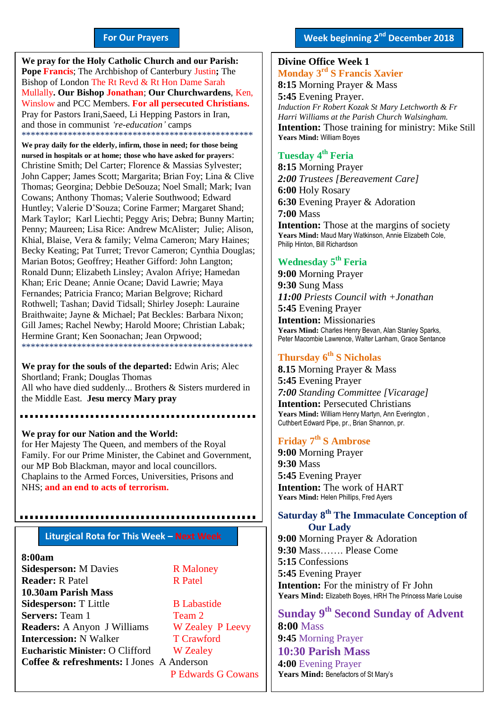#### **For Our Prayers**

arted Mullally**. Our Bishop Jonathan**; **Our Churchwardens**, Ken, **We pray for the Holy Catholic Church and our Parish: Pope Francis**; The Archbishop of Canterbury Justin**;** The Bishop of London The Rt Revd & Rt Hon Dame Sarah Winslow and PCC Members. **For all persecuted Christians.** Pray for Pastors Irani,Saeed, Li Hepping Pastors in Iran, and those in communist *'re-education'* camps \*\*\*\*\*\*\*\*\*\*\*\*\*\*\*\*\*\*\*\*\*\*\*\*\*\*\*\*\*\*\*\*\*\*\*\*\*\*\*\*\*\*\*\*\*\*\*\*\*\*

**We pray daily for the elderly, infirm, those in need; for those being nursed in hospitals or at home; those who have asked for prayers**: Christine Smith; Del Carter; Florence & Massias Sylvester; John Capper; James Scott; Margarita; Brian Foy; Lina & Clive Thomas; Georgina; Debbie DeSouza; Noel Small; Mark; Ivan Cowans; Anthony Thomas; Valerie Southwood; Edward Huntley; Valerie D'Souza; Corine Farmer; Margaret Shand; Mark Taylor; Karl Liechti; Peggy Aris; Debra; Bunny Martin; Penny; Maureen; Lisa Rice: Andrew McAlister; Julie; Alison, Khial, Blaise, Vera & family; Velma Cameron; Mary Haines; Becky Keating; Pat Turret; Trevor Cameron; Cynthia Douglas; Marian Botos; Geoffrey; Heather Gifford: John Langton; Ronald Dunn; Elizabeth Linsley; Avalon Afriye; Hamedan Khan; Eric Deane; Annie Ocane; David Lawrie; Maya Fernandes; Patricia Franco; Marian Belgrove; Richard Rothwell; Tashan; David Tidsall; Shirley Joseph: Lauraine Braithwaite; Jayne & Michael; Pat Beckles: Barbara Nixon; Gill James; Rachel Newby; Harold Moore; Christian Labak; Hermine Grant; Ken Soonachan; Jean Orpwood; \*\*\*\*\*\*\*\*\*\*\*\*\*\*\*\*\*\*\*\*\*\*\*\*\*\*\*\*\*\*\*\*\*\*\*\*\*\*\*\*\*\*\*\*\*\*\*\*\*\*

**We pray for the souls of the departed:** Edwin Aris; Alec Shortland; Frank; Douglas Thomas All who have died suddenly... Brothers & Sisters murdered in the Middle East. **Jesu mercy Mary pray**

**We pray for our Nation and the World:** for Her Majesty The Queen, and members of the Royal Family. For our Prime Minister, the Cabinet and Government, our MP Bob Blackman, mayor and local councillors. Chaplains to the Armed Forces, Universities, Prisons and NHS; **and an end to acts of terrorism.**

#### **Liturgical Rota for This Week – Next Week**

,,,,,,,,,,,,,,,,,,,,,,,,,

**8:00am Sidesperson:** M Davies R Maloney **Reader:** R Patel R Patel **10.30am Parish Mass Sidesperson:** T Little B Labastide **Servers:** Team 1 Team 2 **Readers:** A Anyon J Williams W Zealey P Leevy **Intercession:** N Walker T Crawford **Eucharistic Minister:** O Clifford W Zealey **Coffee & refreshments:** I Jones A Anderson

P Edwards G Cowans

#### **Divine Office Week 1 Monday 3 rd S Francis Xavier**

**8:15** Morning Prayer & Mass **5:45** Evening Prayer. *Induction Fr Robert Kozak St Mary Letchworth & Fr Harri Williams at the Parish Church Walsingham.* **Intention:** Those training for ministry: Mike Still **Years Mind:** William Boyes

#### **Tuesday 4 th Feria**

**8:15** Morning Prayer *2:00 Trustees [Bereavement Care]* **6:00** Holy Rosary **6:30** Evening Prayer & Adoration **7:00** Mass **Intention:** Those at the margins of society Years Mind: Maud Mary Watkinson, Annie Elizabeth Cole, Philip Hinton, Bill Richardson

#### **Wednesday 5 th Feria**

**9:00** Morning Prayer **9:30** Sung Mass *11:00 Priests Council with +Jonathan* **5:45** Evening Prayer **Intention:** Missionaries **Years Mind:** Charles Henry Bevan, Alan Stanley Sparks, Peter Macombie Lawrence, Walter Lanham, Grace Sentance

#### **Thursday 6 th S Nicholas**

**8.15** Morning Prayer & Mass **5:45** Evening Prayer *7:00 Standing Committee [Vicarage]* **Intention:** Persecuted Christians **Years Mind:** William Henry Martyn, Ann Everington , Cuthbert Edward Pipe, pr., Brian Shannon, pr.

#### **Friday 7 th S Ambrose**

**9:00** Morning Prayer **9:30** Mass **5:45** Evening Prayer **Intention:** The work of HART **Years Mind:** Helen Phillips, Fred Ayers

#### **Saturday 8 th The Immaculate Conception of Our Lady**

**9:00** Morning Prayer & Adoration **9:30** Mass……. Please Come **5:15** Confessions **5:45** Evening Prayer **Intention:** For the ministry of Fr John **Years Mind:** Elizabeth Boyes, HRH The Princess Marie Louise

**Sunday 9 th Second Sunday of Advent 8:00** Mass **9:45** Morning Prayer **10:30 Parish Mass 4:00** Evening Prayer **Years Mind:** Benefactors of St Mary's